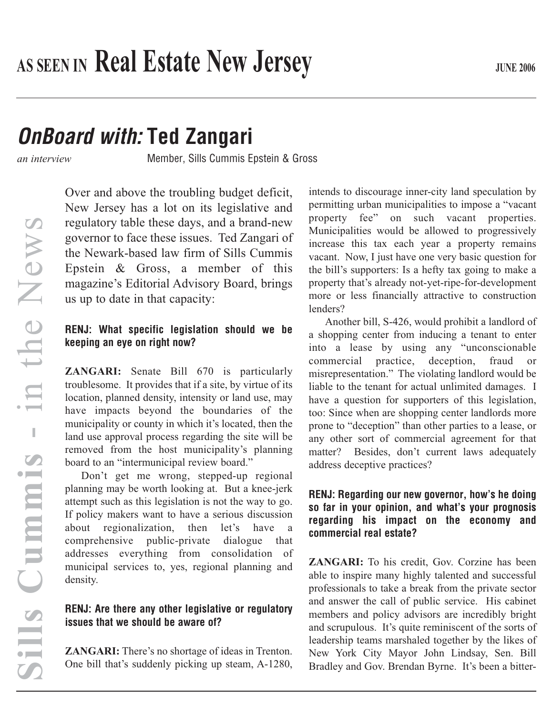# *OnBoard with:* **Ted Zangari**

*an interview* Member, Sills Cummis Epstein & Gross

 $\overline{C}$ **Sills Cummis** - in the News in the News  $\pm$ Cummis SHIS

Over and above the troubling budget deficit, New Jersey has a lot on its legislative and regulatory table these days, and a brand-new governor to face these issues. Ted Zangari of the Newark-based law firm of Sills Cummis Epstein & Gross, a member of this magazine's Editorial Advisory Board, brings us up to date in that capacity:

#### **RENJ: What specific legislation should we be keeping an eye on right now?**

**ZANGARI:** Senate Bill 670 is particularly troublesome. It provides that if a site, by virtue of its location, planned density, intensity or land use, may have impacts beyond the boundaries of the municipality or county in which it's located, then the land use approval process regarding the site will be removed from the host municipality's planning board to an "intermunicipal review board."

Don't get me wrong, stepped-up regional planning may be worth looking at. But a knee-jerk attempt such as this legislation is not the way to go. If policy makers want to have a serious discussion about regionalization, then let's have a comprehensive public-private dialogue that addresses everything from consolidation of municipal services to, yes, regional planning and density.

# **RENJ: Are there any other legislative or regulatory issues that we should be aware of?**

**ZANGARI:** There's no shortage of ideas in Trenton. One bill that's suddenly picking up steam, A-1280,

intends to discourage inner-city land speculation by permitting urban municipalities to impose a "vacant property fee" on such vacant properties. Municipalities would be allowed to progressively increase this tax each year a property remains vacant. Now, I just have one very basic question for the bill's supporters: Is a hefty tax going to make a property that's already not-yet-ripe-for-development more or less financially attractive to construction lenders?

Another bill, S-426, would prohibit a landlord of a shopping center from inducing a tenant to enter into a lease by using any "unconscionable commercial practice, deception, fraud or misrepresentation." The violating landlord would be liable to the tenant for actual unlimited damages. I have a question for supporters of this legislation, too: Since when are shopping center landlords more prone to "deception" than other parties to a lease, or any other sort of commercial agreement for that matter? Besides, don't current laws adequately address deceptive practices?

## **RENJ: Regarding our new governor, how's he doing so far in your opinion, and what's your prognosis regarding his impact on the economy and commercial real estate?**

**ZANGARI:** To his credit, Gov. Corzine has been able to inspire many highly talented and successful professionals to take a break from the private sector and answer the call of public service. His cabinet members and policy advisors are incredibly bright and scrupulous. It's quite reminiscent of the sorts of leadership teams marshaled together by the likes of New York City Mayor John Lindsay, Sen. Bill Bradley and Gov. Brendan Byrne. It's been a bitter